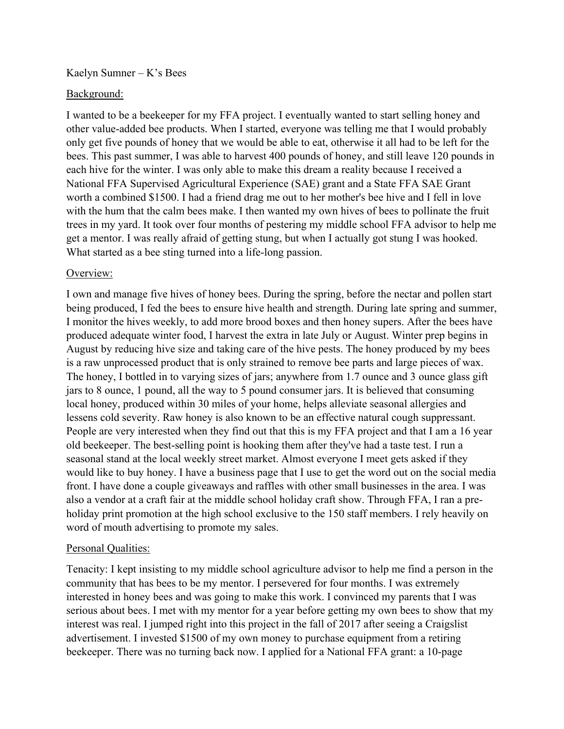Kaelyn Sumner – K's Bees

## Background:

I wanted to be a beekeeper for my FFA project. I eventually wanted to start selling honey and other value-added bee products. When I started, everyone was telling me that I would probably only get five pounds of honey that we would be able to eat, otherwise it all had to be left for the bees. This past summer, I was able to harvest 400 pounds of honey, and still leave 120 pounds in each hive for the winter. I was only able to make this dream a reality because I received a National FFA Supervised Agricultural Experience (SAE) grant and a State FFA SAE Grant worth a combined \$1500. I had a friend drag me out to her mother's bee hive and I fell in love with the hum that the calm bees make. I then wanted my own hives of bees to pollinate the fruit trees in my yard. It took over four months of pestering my middle school FFA advisor to help me get a mentor. I was really afraid of getting stung, but when I actually got stung I was hooked. What started as a bee sting turned into a life-long passion.

## Overview:

I own and manage five hives of honey bees. During the spring, before the nectar and pollen start being produced, I fed the bees to ensure hive health and strength. During late spring and summer, I monitor the hives weekly, to add more brood boxes and then honey supers. After the bees have produced adequate winter food, I harvest the extra in late July or August. Winter prep begins in August by reducing hive size and taking care of the hive pests. The honey produced by my bees is a raw unprocessed product that is only strained to remove bee parts and large pieces of wax. The honey, I bottled in to varying sizes of jars; anywhere from 1.7 ounce and 3 ounce glass gift jars to 8 ounce, 1 pound, all the way to 5 pound consumer jars. It is believed that consuming local honey, produced within 30 miles of your home, helps alleviate seasonal allergies and lessens cold severity. Raw honey is also known to be an effective natural cough suppressant. People are very interested when they find out that this is my FFA project and that I am a 16 year old beekeeper. The best-selling point is hooking them after they've had a taste test. I run a seasonal stand at the local weekly street market. Almost everyone I meet gets asked if they would like to buy honey. I have a business page that I use to get the word out on the social media front. I have done a couple giveaways and raffles with other small businesses in the area. I was also a vendor at a craft fair at the middle school holiday craft show. Through FFA, I ran a preholiday print promotion at the high school exclusive to the 150 staff members. I rely heavily on word of mouth advertising to promote my sales.

## Personal Qualities:

Tenacity: I kept insisting to my middle school agriculture advisor to help me find a person in the community that has bees to be my mentor. I persevered for four months. I was extremely interested in honey bees and was going to make this work. I convinced my parents that I was serious about bees. I met with my mentor for a year before getting my own bees to show that my interest was real. I jumped right into this project in the fall of 2017 after seeing a Craigslist advertisement. I invested \$1500 of my own money to purchase equipment from a retiring beekeeper. There was no turning back now. I applied for a National FFA grant: a 10-page